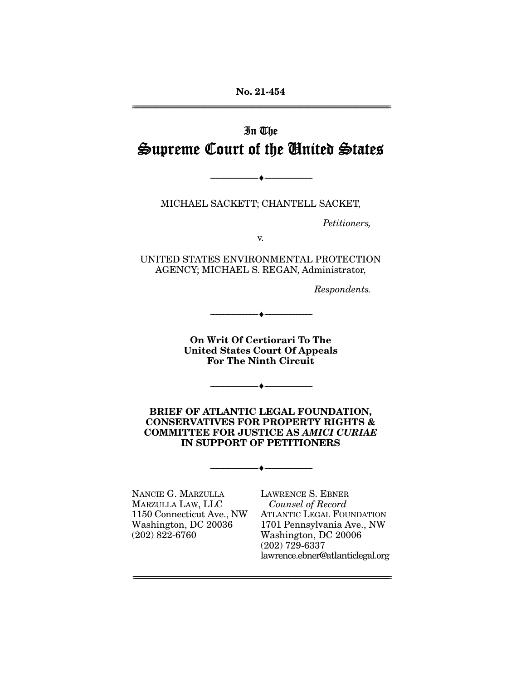# In The Supreme Court of the United States

MICHAEL SACKETT; CHANTELL SACKET,

--------------------------------- ♦ ---------------------------------

Petitioners,

v.

UNITED STATES ENVIRONMENTAL PROTECTION AGENCY; MICHAEL S. REGAN, Administrator,

Respondents.

**On Writ Of Certiorari To The United States Court Of Appeals For The Ninth Circuit** 

--------------------------------- ♦ ---------------------------------

--------------------------------- ♦ ---------------------------------

**BRIEF OF ATLANTIC LEGAL FOUNDATION, CONSERVATIVES FOR PROPERTY RIGHTS & COMMITTEE FOR JUSTICE AS** *AMICI CURIAE* **IN SUPPORT OF PETITIONERS** 

--------------------------------- ♦ ---------------------------------

================================================================================================================

NANCIE G. MARZULLA MARZULLA LAW, LLC 1150 Connecticut Ave., NW Washington, DC 20036 (202) 822-6760

LAWRENCE S. EBNER Counsel of Record ATLANTIC LEGAL FOUNDATION 1701 Pennsylvania Ave., NW Washington, DC 20006 (202) 729-6337 lawrence.ebner@atlanticlegal.org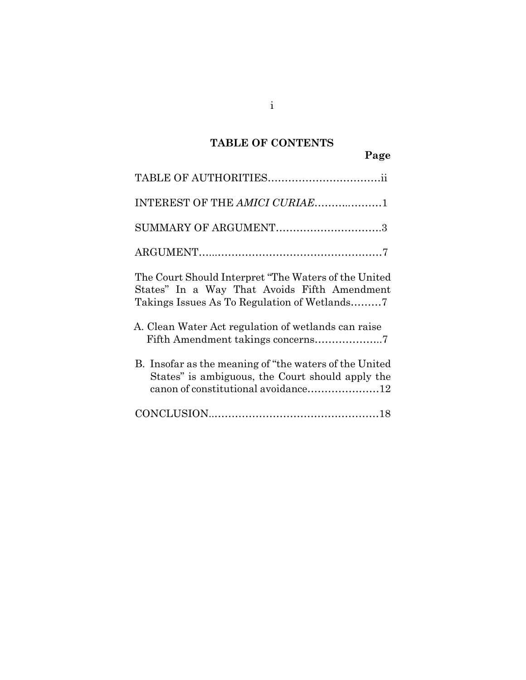## **TABLE OF CONTENTS**

| INTEREST OF THE AMICI CURIAE1                                                                                                                      |
|----------------------------------------------------------------------------------------------------------------------------------------------------|
| SUMMARY OF ARGUMENT3                                                                                                                               |
|                                                                                                                                                    |
| The Court Should Interpret "The Waters of the United"<br>States" In a Way That Avoids Fifth Amendment                                              |
| A. Clean Water Act regulation of wetlands can raise                                                                                                |
| B. Insofar as the meaning of "the waters of the United"<br>States" is ambiguous, the Court should apply the<br>canon of constitutional avoidance12 |
|                                                                                                                                                    |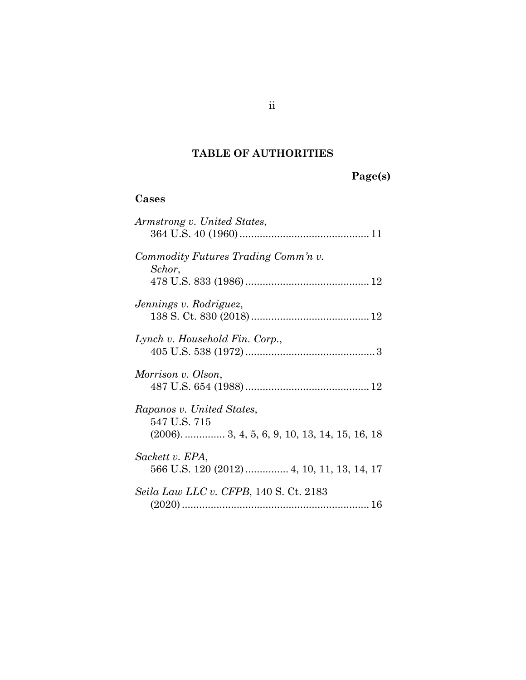## **TABLE OF AUTHORITIES**

**Page(s)**

## **Cases**

| Armstrong v. United States,                                                                    |
|------------------------------------------------------------------------------------------------|
| Commodity Futures Trading Comm'n v.<br>Schor,                                                  |
| Jennings v. Rodriguez,                                                                         |
| Lynch v. Household Fin. Corp.,                                                                 |
| Morrison v. Olson,                                                                             |
| Rapanos v. United States,<br>547 U.S. 715<br>$(2006)$ .  3, 4, 5, 6, 9, 10, 13, 14, 15, 16, 18 |
| Sackett v. EPA,<br>566 U.S. 120 (2012)  4, 10, 11, 13, 14, 17                                  |
| <i>Seila Law LLC v. CFPB,</i> 140 S. Ct. 2183                                                  |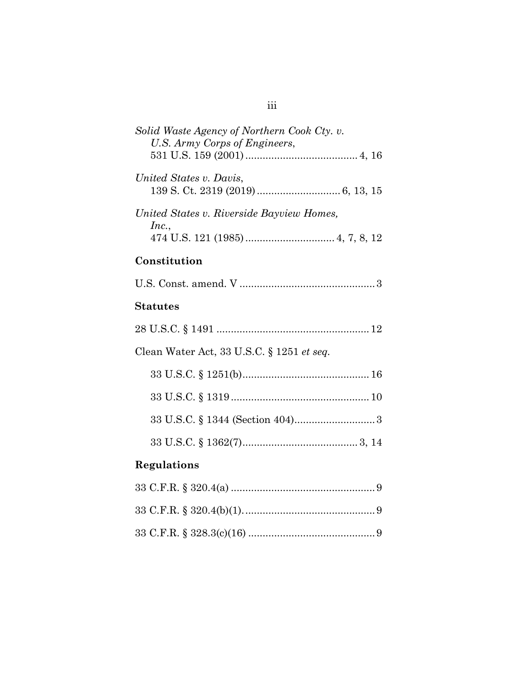| Solid Waste Agency of Northern Cook Cty. v.<br>U.S. Army Corps of Engineers, |
|------------------------------------------------------------------------------|
| United States v. Davis,                                                      |
| United States v. Riverside Bayview Homes,<br>Inc.,                           |
| Constitution                                                                 |
|                                                                              |
| <b>Statutes</b>                                                              |
|                                                                              |
| Clean Water Act, 33 U.S.C. § 1251 et seq.                                    |
|                                                                              |
|                                                                              |
|                                                                              |
|                                                                              |
| Regulations                                                                  |
|                                                                              |

33 C.F.R. § 320.4(b)(1)..............................................9 33 C.F.R. § 328.3(c)(16) ............................................9

## iii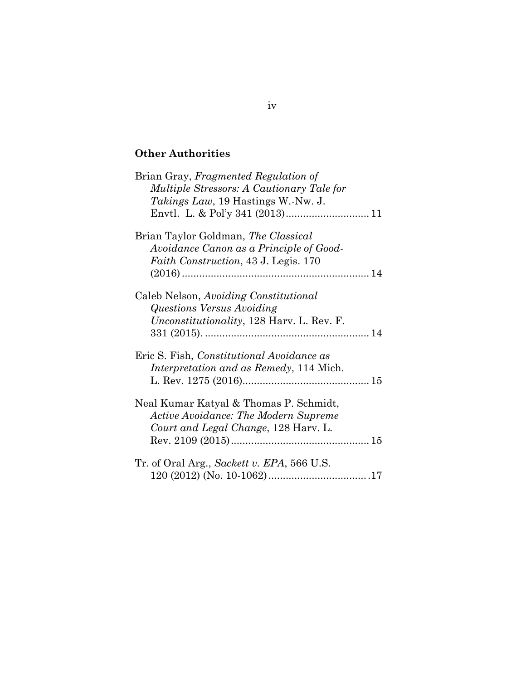## **Other Authorities**

| Brian Gray, Fragmented Regulation of<br>Multiple Stressors: A Cautionary Tale for<br><i>Takings Law</i> , 19 Hastings W.-Nw. J. |
|---------------------------------------------------------------------------------------------------------------------------------|
| Brian Taylor Goldman, The Classical<br>Avoidance Canon as a Principle of Good-<br>Faith Construction, 43 J. Legis. 170          |
| Caleb Nelson, Avoiding Constitutional<br>Questions Versus Avoiding<br><i>Unconstitutionality</i> , 128 Harv. L. Rev. F.         |
| Eric S. Fish, <i>Constitutional Avoidance as</i><br><i>Interpretation and as Remedy</i> , 114 Mich.                             |
| Neal Kumar Katyal & Thomas P. Schmidt,<br><b>Active Avoidance: The Modern Supreme</b><br>Court and Legal Change, 128 Harv. L.   |
| Tr. of Oral Arg., Sackett v. EPA, 566 U.S.                                                                                      |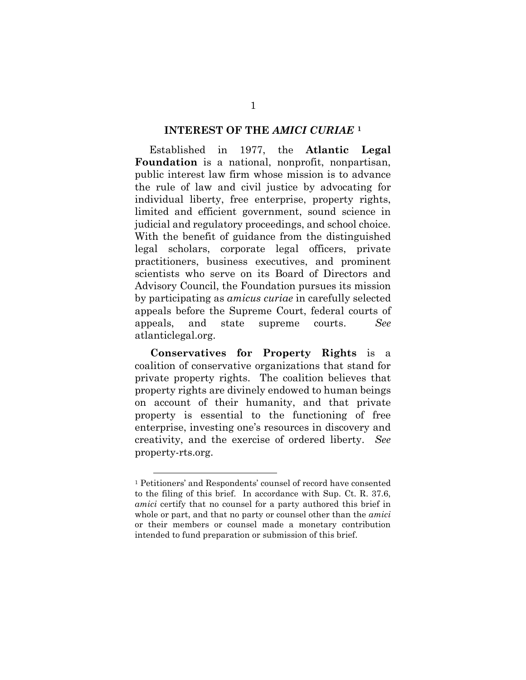#### **INTEREST OF THE** *AMICI CURIAE* **[1](#page-5-0)**

 Established in 1977, the **Atlantic Legal Foundation** is a national, nonprofit, nonpartisan, public interest law firm whose mission is to advance the rule of law and civil justice by advocating for individual liberty, free enterprise, property rights, limited and efficient government, sound science in judicial and regulatory proceedings, and school choice. With the benefit of guidance from the distinguished legal scholars, corporate legal officers, private practitioners, business executives, and prominent scientists who serve on its Board of Directors and Advisory Council, the Foundation pursues its mission by participating as *amicus curiae* in carefully selected appeals before the Supreme Court, federal courts of appeals, and state supreme courts. *See*  atlanticlegal.org.

**Conservatives for Property Rights** is a coalition of conservative organizations that stand for private property rights. The coalition believes that property rights are divinely endowed to human beings on account of their humanity, and that private property is essential to the functioning of free enterprise, investing one's resources in discovery and creativity, and the exercise of ordered liberty. *See*  property-rts.org.

<span id="page-5-0"></span><sup>1</sup> Petitioners' and Respondents' counsel of record have consented to the filing of this brief. In accordance with Sup. Ct. R. 37.6, *amici* certify that no counsel for a party authored this brief in whole or part, and that no party or counsel other than the *amici* or their members or counsel made a monetary contribution intended to fund preparation or submission of this brief.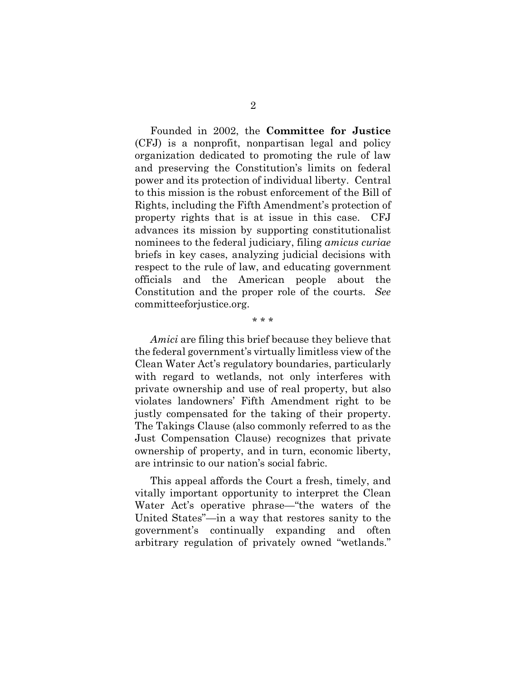Founded in 2002, the **Committee for Justice**  (CFJ) is a nonprofit, nonpartisan legal and policy organization dedicated to promoting the rule of law and preserving the Constitution's limits on federal power and its protection of individual liberty. Central to this mission is the robust enforcement of the Bill of Rights, including the Fifth Amendment's protection of property rights that is at issue in this case. CFJ advances its mission by supporting constitutionalist nominees to the federal judiciary, filing *amicus curiae* briefs in key cases, analyzing judicial decisions with respect to the rule of law, and educating government officials and the American people about the Constitution and the proper role of the courts. *See*  committeeforjustice.org.

*Amici* are filing this brief because they believe that the federal government's virtually limitless view of the Clean Water Act's regulatory boundaries, particularly with regard to wetlands, not only interferes with private ownership and use of real property, but also violates landowners' Fifth Amendment right to be justly compensated for the taking of their property. The Takings Clause (also commonly referred to as the Just Compensation Clause) recognizes that private ownership of property, and in turn, economic liberty, are intrinsic to our nation's social fabric.

\* \* \*

This appeal affords the Court a fresh, timely, and vitally important opportunity to interpret the Clean Water Act's operative phrase—"the waters of the United States"—in a way that restores sanity to the government's continually expanding and often arbitrary regulation of privately owned "wetlands."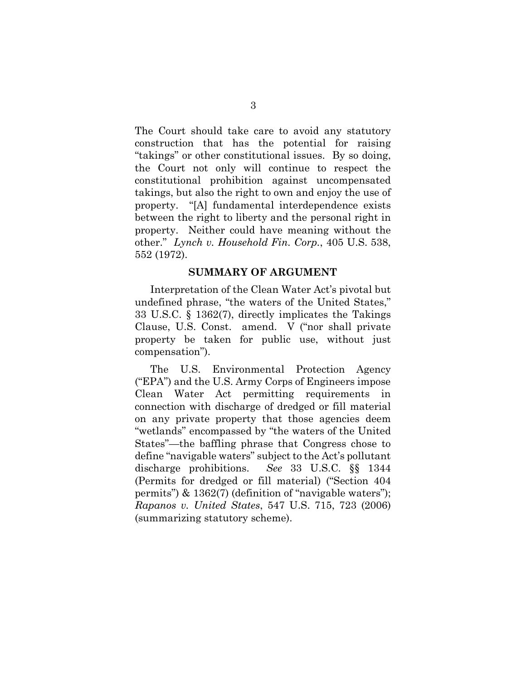The Court should take care to avoid any statutory construction that has the potential for raising "takings" or other constitutional issues. By so doing, the Court not only will continue to respect the constitutional prohibition against uncompensated takings, but also the right to own and enjoy the use of property. "[A] fundamental interdependence exists between the right to liberty and the personal right in property. Neither could have meaning without the other." *Lynch v. Household Fin. Corp.*, 405 U.S. 538, 552 (1972).

#### <span id="page-7-2"></span><span id="page-7-0"></span>**SUMMARY OF ARGUMENT**

<span id="page-7-4"></span>Interpretation of the Clean Water Act's pivotal but undefined phrase, "the waters of the United States," 33 U.S.C. § 1362(7), directly implicates the Takings Clause, U.S. Const. amend. V ("nor shall private property be taken for public use, without just compensation").

<span id="page-7-3"></span><span id="page-7-1"></span>The U.S. Environmental Protection Agency ("EPA") and the U.S. Army Corps of Engineers impose Clean Water Act permitting requirements in connection with discharge of dredged or fill material on any private property that those agencies deem "wetlands" encompassed by "the waters of the United States"—the baffling phrase that Congress chose to define "navigable waters" subject to the Act's pollutant discharge prohibitions. *See* 33 U.S.C. §§ 1344 (Permits for dredged or fill material) ("Section 404 permits") & 1362(7) (definition of "navigable waters"); *Rapanos v. United States*, 547 U.S. 715, 723 (2006) (summarizing statutory scheme).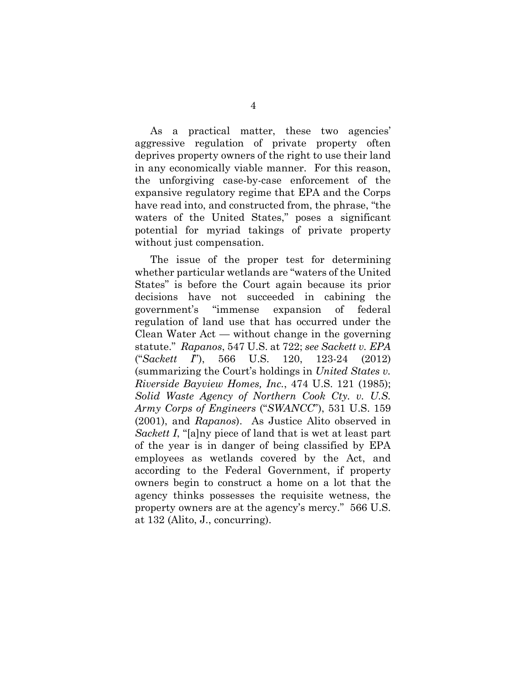As a practical matter, these two agencies' aggressive regulation of private property often deprives property owners of the right to use their land in any economically viable manner. For this reason, the unforgiving case-by-case enforcement of the expansive regulatory regime that EPA and the Corps have read into, and constructed from, the phrase, "the waters of the United States," poses a significant potential for myriad takings of private property without just compensation.

<span id="page-8-3"></span><span id="page-8-2"></span><span id="page-8-1"></span><span id="page-8-0"></span>The issue of the proper test for determining whether particular wetlands are "waters of the United States" is before the Court again because its prior decisions have not succeeded in cabining the government's "immense expansion of federal regulation of land use that has occurred under the Clean Water Act — without change in the governing statute." *Rapanos*, 547 U.S. at 722; *see Sackett v. EPA* ("*Sackett I*"), 566 U.S. 120, 123-24 (2012) (summarizing the Court's holdings in *United States v. Riverside Bayview Homes, Inc.*, 474 U.S. 121 (1985); *Solid Waste Agency of Northern Cook Cty. v. U.S. Army Corps of Engineers* ("*SWANCC*"), 531 U.S. 159 (2001), and *Rapanos*). As Justice Alito observed in *Sackett I*, "[a]ny piece of land that is wet at least part of the year is in danger of being classified by EPA employees as wetlands covered by the Act, and according to the Federal Government, if property owners begin to construct a home on a lot that the agency thinks possesses the requisite wetness, the property owners are at the agency's mercy." 566 U.S. at 132 (Alito, J., concurring).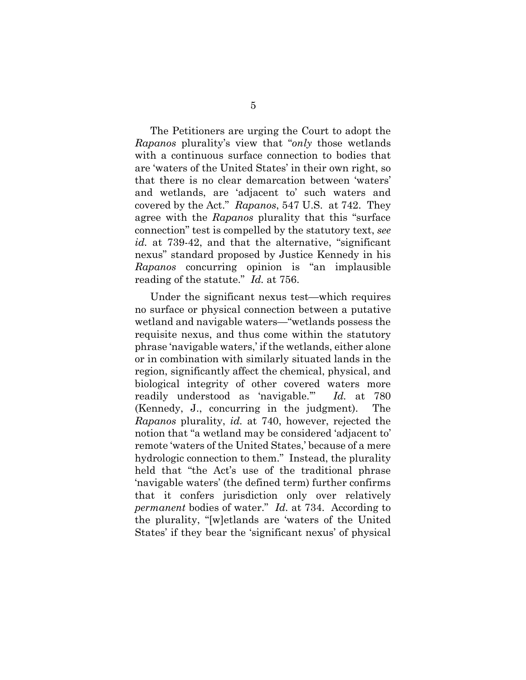<span id="page-9-0"></span>The Petitioners are urging the Court to adopt the *Rapanos* plurality's view that "*only* those wetlands with a continuous surface connection to bodies that are 'waters of the United States' in their own right, so that there is no clear demarcation between 'waters' and wetlands, are 'adjacent to' such waters and covered by the Act." *Rapanos*, 547 U.S. at 742. They agree with the *Rapanos* plurality that this "surface connection" test is compelled by the statutory text, *see id.* at 739-42, and that the alternative, "significant nexus" standard proposed by Justice Kennedy in his *Rapanos* concurring opinion is "an implausible reading of the statute." *Id.* at 756.

Under the significant nexus test—which requires no surface or physical connection between a putative wetland and navigable waters—"wetlands possess the requisite nexus, and thus come within the statutory phrase 'navigable waters,' if the wetlands, either alone or in combination with similarly situated lands in the region, significantly affect the chemical, physical, and biological integrity of other covered waters more readily understood as 'navigable.'" *Id.* at 780 (Kennedy, J., concurring in the judgment). The *Rapanos* plurality, *id.* at 740, however, rejected the notion that "a wetland may be considered 'adjacent to' remote 'waters of the United States,' because of a mere hydrologic connection to them." Instead, the plurality held that "the Act's use of the traditional phrase 'navigable waters' (the defined term) further confirms that it confers jurisdiction only over relatively *permanent* bodies of water." *Id.* at 734. According to the plurality, "[w]etlands are 'waters of the United States' if they bear the 'significant nexus' of physical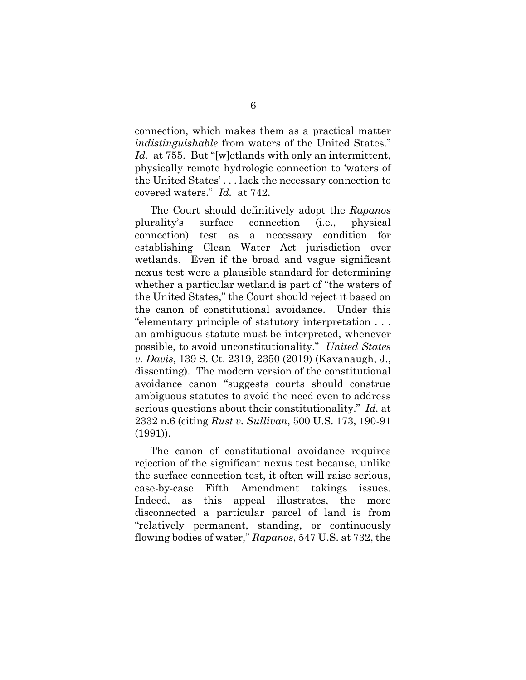<span id="page-10-0"></span>connection, which makes them as a practical matter *indistinguishable* from waters of the United States." Id. at 755. But "[w]etlands with only an intermittent, physically remote hydrologic connection to 'waters of the United States' . . . lack the necessary connection to covered waters." *Id.* at 742.

The Court should definitively adopt the *Rapanos*  plurality's surface connection (i.e., physical connection) test as a necessary condition for establishing Clean Water Act jurisdiction over wetlands. Even if the broad and vague significant nexus test were a plausible standard for determining whether a particular wetland is part of "the waters of the United States," the Court should reject it based on the canon of constitutional avoidance. Under this "elementary principle of statutory interpretation . . . an ambiguous statute must be interpreted, whenever possible, to avoid unconstitutionality." *United States v. Davis*, 139 S. Ct. 2319, 2350 (2019) (Kavanaugh, J., dissenting). The modern version of the constitutional avoidance canon "suggests courts should construe ambiguous statutes to avoid the need even to address serious questions about their constitutionality." *Id.* at 2332 n.6 (citing *Rust v. Sullivan*, 500 U.S. 173, 190-91 (1991)).

<span id="page-10-1"></span>The canon of constitutional avoidance requires rejection of the significant nexus test because, unlike the surface connection test, it often will raise serious, case-by-case Fifth Amendment takings issues. Indeed, as this appeal illustrates, the more disconnected a particular parcel of land is from "relatively permanent, standing, or continuously flowing bodies of water," *Rapanos*, 547 U.S. at 732, the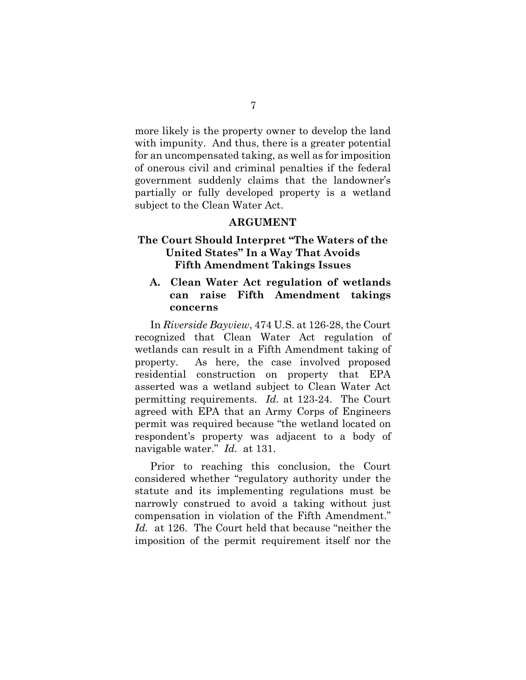more likely is the property owner to develop the land with impunity. And thus, there is a greater potential for an uncompensated taking, as well as for imposition of onerous civil and criminal penalties if the federal government suddenly claims that the landowner's partially or fully developed property is a wetland subject to the Clean Water Act.

### **ARGUMENT**

## **The Court Should Interpret "The Waters of the United States" In a Way That Avoids Fifth Amendment Takings Issues**

## **A. Clean Water Act regulation of wetlands can raise Fifth Amendment takings concerns**

<span id="page-11-0"></span>In *Riverside Bayview*, 474 U.S. at 126-28, the Court recognized that Clean Water Act regulation of wetlands can result in a Fifth Amendment taking of property. As here, the case involved proposed residential construction on property that EPA asserted was a wetland subject to Clean Water Act permitting requirements. *Id.* at 123-24. The Court agreed with EPA that an Army Corps of Engineers permit was required because "the wetland located on respondent's property was adjacent to a body of navigable water." *Id.* at 131.

Prior to reaching this conclusion, the Court considered whether "regulatory authority under the statute and its implementing regulations must be narrowly construed to avoid a taking without just compensation in violation of the Fifth Amendment." *Id.* at 126. The Court held that because "neither the imposition of the permit requirement itself nor the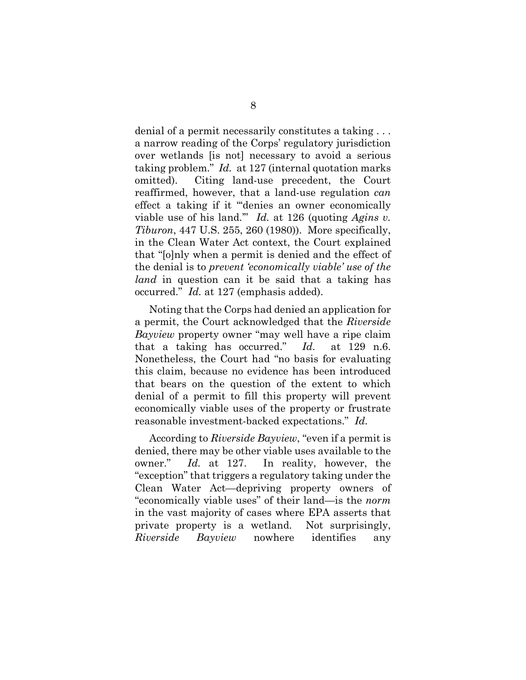<span id="page-12-0"></span>denial of a permit necessarily constitutes a taking . . . a narrow reading of the Corps' regulatory jurisdiction over wetlands [is not] necessary to avoid a serious taking problem." *Id.* at 127 (internal quotation marks omitted). Citing land-use precedent, the Court reaffirmed, however, that a land-use regulation *can* effect a taking if it "'denies an owner economically viable use of his land.'" *Id.* at 126 (quoting *Agins v. Tiburon*, 447 U.S. 255, 260 (1980)). More specifically, in the Clean Water Act context, the Court explained that "[o]nly when a permit is denied and the effect of the denial is to *prevent 'economically viable' use of the land* in question can it be said that a taking has occurred." *Id.* at 127 (emphasis added).

 Noting that the Corps had denied an application for a permit, the Court acknowledged that the *Riverside Bayview* property owner "may well have a ripe claim that a taking has occurred." *Id.* at 129 n.6. Nonetheless, the Court had "no basis for evaluating this claim, because no evidence has been introduced that bears on the question of the extent to which denial of a permit to fill this property will prevent economically viable uses of the property or frustrate reasonable investment-backed expectations." *Id.*

 According to *Riverside Bayview*, "even if a permit is denied, there may be other viable uses available to the owner." *Id.* at 127. In reality, however, the "exception" that triggers a regulatory taking under the Clean Water Act—depriving property owners of "economically viable uses" of their land—is the *norm* in the vast majority of cases where EPA asserts that private property is a wetland. Not surprisingly, *Riverside Bayview* nowhere identifies any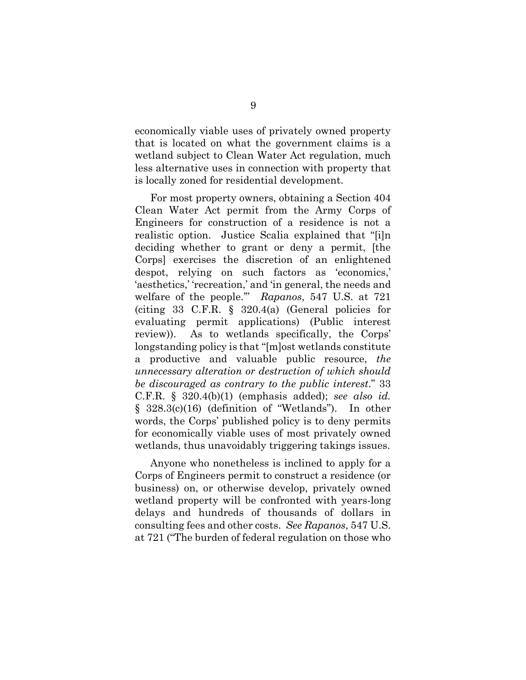economically viable uses of privately owned property that is located on what the government claims is a wetland subject to Clean Water Act regulation, much less alternative uses in connection with property that is locally zoned for residential development.

<span id="page-13-0"></span>For most property owners, obtaining a Section 404 Clean Water Act permit from the Army Corps of Engineers for construction of a residence is not a realistic option. Justice Scalia explained that "[i]n deciding whether to grant or deny a permit, [the Corps] exercises the discretion of an enlightened despot, relying on such factors as 'economics,' 'aesthetics,' 'recreation,' and 'in general, the needs and welfare of the people.'" *Rapanos*, 547 U.S. at 721 (citing 33 C.F.R.  $\S$  320.4(a) (General policies for evaluating permit applications) (Public interest review)). As to wetlands specifically, the Corps' longstanding policy is that "[m]ost wetlands constitute a productive and valuable public resource, *the unnecessary alteration or destruction of which should be discouraged as contrary to the public interest*." 33 C.F.R. § 320.4(b)(1) (emphasis added); *see also id.*  § 328.3(c)(16) (definition of "Wetlands"). In other words, the Corps' published policy is to deny permits for economically viable uses of most privately owned wetlands, thus unavoidably triggering takings issues.

Anyone who nonetheless is inclined to apply for a Corps of Engineers permit to construct a residence (or business) on, or otherwise develop, privately owned wetland property will be confronted with years-long delays and hundreds of thousands of dollars in consulting fees and other costs. *See Rapanos*, 547 U.S. at 721 ("The burden of federal regulation on those who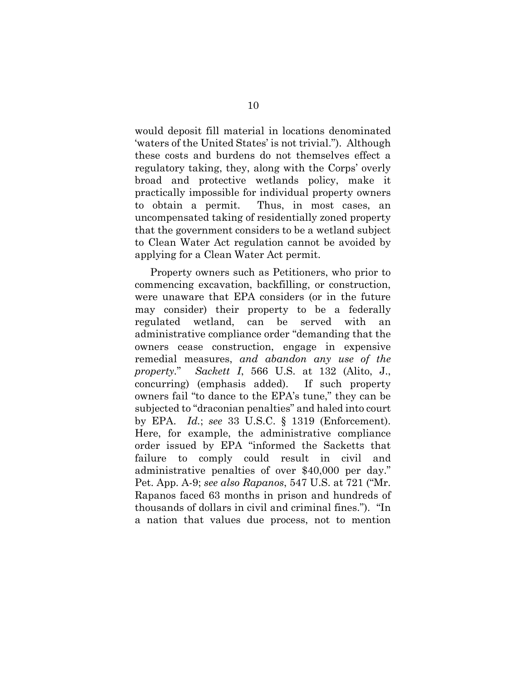would deposit fill material in locations denominated 'waters of the United States' is not trivial."). Although these costs and burdens do not themselves effect a regulatory taking, they, along with the Corps' overly broad and protective wetlands policy, make it practically impossible for individual property owners to obtain a permit. Thus, in most cases, an uncompensated taking of residentially zoned property that the government considers to be a wetland subject to Clean Water Act regulation cannot be avoided by applying for a Clean Water Act permit.

<span id="page-14-2"></span><span id="page-14-1"></span><span id="page-14-0"></span>Property owners such as Petitioners, who prior to commencing excavation, backfilling, or construction, were unaware that EPA considers (or in the future may consider) their property to be a federally regulated wetland, can be served with administrative compliance order "demanding that the owners cease construction, engage in expensive remedial measures, *and abandon any use of the property.*" *Sackett I*, 566 U.S. at 132 (Alito, J., concurring) (emphasis added). If such property owners fail "to dance to the EPA's tune," they can be subjected to "draconian penalties" and haled into court by EPA. *Id.*; *see* 33 U.S.C. § 1319 (Enforcement). Here, for example, the administrative compliance order issued by EPA "informed the Sacketts that failure to comply could result in civil and administrative penalties of over \$40,000 per day." Pet. App. A-9; *see also Rapanos*, 547 U.S. at 721 ("Mr. Rapanos faced 63 months in prison and hundreds of thousands of dollars in civil and criminal fines.")."In a nation that values due process, not to mention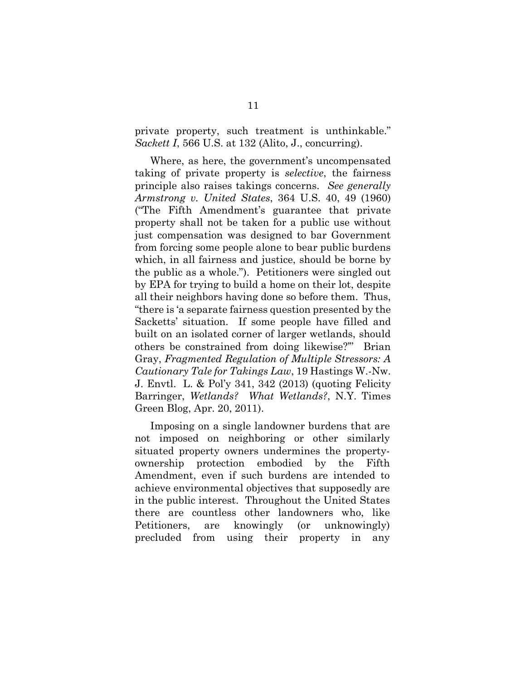<span id="page-15-1"></span>private property, such treatment is unthinkable." *Sackett I*, 566 U.S. at 132 (Alito, J., concurring).

<span id="page-15-0"></span>Where, as here, the government's uncompensated taking of private property is *selective*, the fairness principle also raises takings concerns. *See generally Armstrong v. United States*, 364 U.S. 40, 49 (1960) ("The Fifth Amendment's guarantee that private property shall not be taken for a public use without just compensation was designed to bar Government from forcing some people alone to bear public burdens which, in all fairness and justice, should be borne by the public as a whole."). Petitioners were singled out by EPA for trying to build a home on their lot, despite all their neighbors having done so before them. Thus, "there is 'a separate fairness question presented by the Sacketts' situation. If some people have filled and built on an isolated corner of larger wetlands, should others be constrained from doing likewise?'" Brian Gray, *Fragmented Regulation of Multiple Stressors: A Cautionary Tale for Takings Law*, 19 Hastings W.-Nw. J. Envtl. L. & Pol'y 341, 342 (2013) (quoting Felicity Barringer, *Wetlands? What Wetlands?*, N.Y. Times Green Blog, Apr. 20, 2011).

<span id="page-15-2"></span>Imposing on a single landowner burdens that are not imposed on neighboring or other similarly situated property owners undermines the propertyownership protection embodied by the Fifth Amendment, even if such burdens are intended to achieve environmental objectives that supposedly are in the public interest. Throughout the United States there are countless other landowners who, like Petitioners, are knowingly (or unknowingly) precluded from using their property in any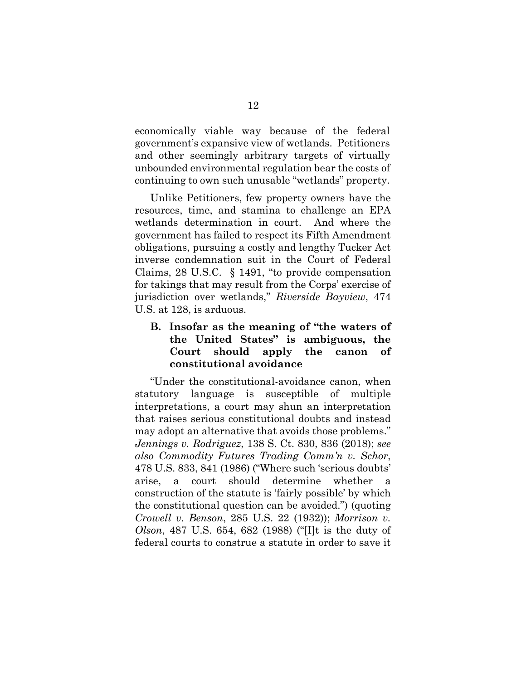economically viable way because of the federal government's expansive view of wetlands. Petitioners and other seemingly arbitrary targets of virtually unbounded environmental regulation bear the costs of continuing to own such unusable "wetlands" property.

Unlike Petitioners, few property owners have the resources, time, and stamina to challenge an EPA wetlands determination in court. And where the government has failed to respect its Fifth Amendment obligations, pursuing a costly and lengthy Tucker Act inverse condemnation suit in the Court of Federal Claims, 28 U.S.C. § 1491, "to provide compensation for takings that may result from the Corps' exercise of jurisdiction over wetlands," *Riverside Bayview*, 474 U.S. at 128, is arduous.

## <span id="page-16-4"></span><span id="page-16-3"></span>**B. Insofar as the meaning of "the waters of the United States" is ambiguous, the Court should apply the canon of constitutional avoidance**

<span id="page-16-2"></span><span id="page-16-1"></span><span id="page-16-0"></span>"Under the constitutional-avoidance canon, when statutory language is susceptible of multiple interpretations, a court may shun an interpretation that raises serious constitutional doubts and instead may adopt an alternative that avoids those problems." *Jennings v. Rodriguez*, 138 S. Ct. 830, 836 (2018); *see also Commodity Futures Trading Comm'n v. Schor*, 478 U.S. 833, 841 (1986) ("Where such 'serious doubts' arise, a court should determine whether a construction of the statute is 'fairly possible' by which the constitutional question can be avoided.") (quoting *Crowell v. Benson*, 285 U.S. 22 (1932)); *Morrison v. Olson*, 487 U.S. 654, 682 (1988) ("[I]t is the duty of federal courts to construe a statute in order to save it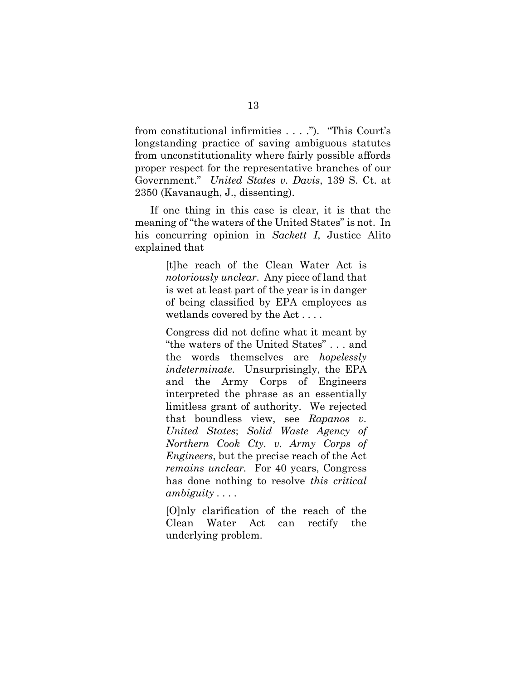from constitutional infirmities . . . ."). "This Court's longstanding practice of saving ambiguous statutes from unconstitutionality where fairly possible affords proper respect for the representative branches of our Government." *United States v. Davis*, 139 S. Ct. at 2350 (Kavanaugh, J., dissenting).

<span id="page-17-1"></span>If one thing in this case is clear, it is that the meaning of "the waters of the United States" is not. In his concurring opinion in *Sackett I*, Justice Alito explained that

> <span id="page-17-0"></span>[t]he reach of the Clean Water Act is *notoriously unclear*. Any piece of land that is wet at least part of the year is in danger of being classified by EPA employees as wetlands covered by the Act . . . .

> Congress did not define what it meant by "the waters of the United States" . . . and the words themselves are *hopelessly indeterminate*. Unsurprisingly, the EPA and the Army Corps of Engineers interpreted the phrase as an essentially limitless grant of authority. We rejected that boundless view, see *Rapanos v. United States*; *Solid Waste Agency of Northern Cook Cty. v. Army Corps of Engineers*, but the precise reach of the Act *remains unclear.* For 40 years, Congress has done nothing to resolve *this critical ambiguity . . . .*

> [O]nly clarification of the reach of the Clean Water Act can rectify the underlying problem.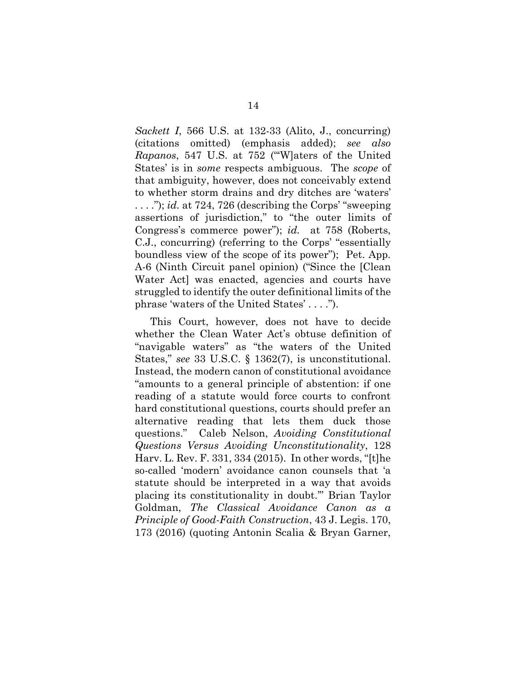<span id="page-18-1"></span><span id="page-18-0"></span>*Sackett I*, 566 U.S. at 132-33 (Alito, J., concurring) (citations omitted) (emphasis added); *see also Rapanos*, 547 U.S. at 752 ("'W]aters of the United States' is in *some* respects ambiguous. The *scope* of that ambiguity, however, does not conceivably extend to whether storm drains and dry ditches are 'waters' . . . ."); *id.* at 724, 726 (describing the Corps' "sweeping assertions of jurisdiction," to "the outer limits of Congress's commerce power"); *id.* at 758 (Roberts, C.J., concurring) (referring to the Corps' "essentially boundless view of the scope of its power"); Pet. App. A-6 (Ninth Circuit panel opinion) ("Since the [Clean Water Act] was enacted, agencies and courts have struggled to identify the outer definitional limits of the phrase 'waters of the United States' . . . .").

<span id="page-18-4"></span><span id="page-18-3"></span><span id="page-18-2"></span>This Court, however, does not have to decide whether the Clean Water Act's obtuse definition of "navigable waters" as "the waters of the United States," *see* 33 U.S.C. § 1362(7), is unconstitutional. Instead, the modern canon of constitutional avoidance "amounts to a general principle of abstention: if one reading of a statute would force courts to confront hard constitutional questions, courts should prefer an alternative reading that lets them duck those questions." Caleb Nelson, *Avoiding Constitutional Questions Versus Avoiding Unconstitutionality*, 128 Harv. L. Rev. F. 331, 334 (2015). In other words, "[t]he so-called 'modern' avoidance canon counsels that 'a statute should be interpreted in a way that avoids placing its constitutionality in doubt.'" Brian Taylor Goldman, *The Classical Avoidance Canon as a Principle of Good-Faith Construction*, 43 J. Legis. 170, 173 (2016) (quoting Antonin Scalia & Bryan Garner,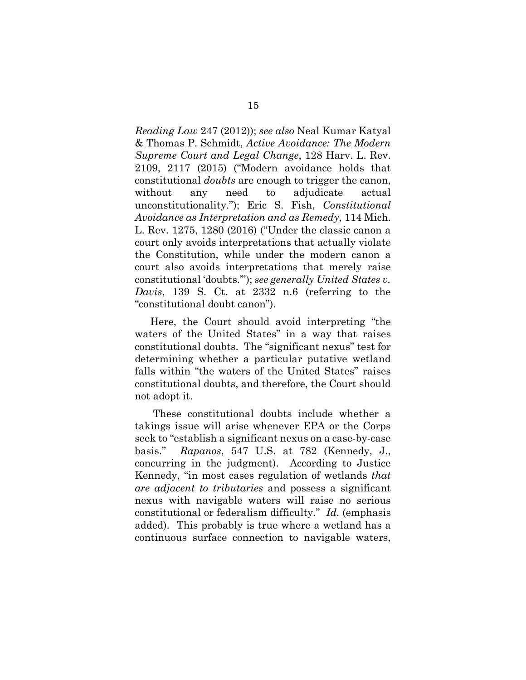<span id="page-19-3"></span><span id="page-19-2"></span>*Reading Law* 247 (2012)); *see also* Neal Kumar Katyal & Thomas P. Schmidt, *Active Avoidance: The Modern Supreme Court and Legal Change*, 128 Harv. L. Rev. 2109, 2117 (2015) ("Modern avoidance holds that constitutional *doubts* are enough to trigger the canon, without any need to adjudicate actual unconstitutionality."); Eric S. Fish, *Constitutional Avoidance as Interpretation and as Remedy*, 114 Mich. L. Rev. 1275, 1280 (2016) ("Under the classic canon a court only avoids interpretations that actually violate the Constitution, while under the modern canon a court also avoids interpretations that merely raise constitutional 'doubts.'"); *see generally United States v. Davis*, 139 S. Ct. at 2332 n.6 (referring to the "constitutional doubt canon").

<span id="page-19-1"></span>Here, the Court should avoid interpreting "the waters of the United States" in a way that raises constitutional doubts. The "significant nexus" test for determining whether a particular putative wetland falls within "the waters of the United States" raises constitutional doubts, and therefore, the Court should not adopt it.

<span id="page-19-0"></span>These constitutional doubts include whether a takings issue will arise whenever EPA or the Corps seek to "establish a significant nexus on a case-by-case basis." *Rapanos*, 547 U.S. at 782 (Kennedy, J., concurring in the judgment). According to Justice Kennedy, "in most cases regulation of wetlands *that are adjacent to tributaries* and possess a significant nexus with navigable waters will raise no serious constitutional or federalism difficulty." *Id.* (emphasis added). This probably is true where a wetland has a continuous surface connection to navigable waters,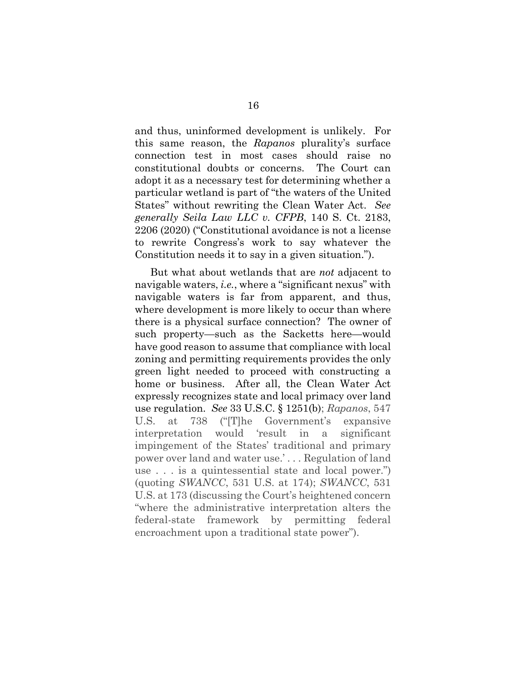<span id="page-20-0"></span>and thus, uninformed development is unlikely. For this same reason, the *Rapanos* plurality's surface connection test in most cases should raise no constitutional doubts or concerns. The Court can adopt it as a necessary test for determining whether a particular wetland is part of "the waters of the United States" without rewriting the Clean Water Act. *See generally Seila Law LLC v. CFPB*, 140 S. Ct. 2183, 2206 (2020) ("Constitutional avoidance is not a license to rewrite Congress's work to say whatever the Constitution needs it to say in a given situation.").

<span id="page-20-2"></span><span id="page-20-1"></span>But what about wetlands that are *not* adjacent to navigable waters, *i.e.*, where a "significant nexus" with navigable waters is far from apparent, and thus, where development is more likely to occur than where there is a physical surface connection? The owner of such property—such as the Sacketts here—would have good reason to assume that compliance with local zoning and permitting requirements provides the only green light needed to proceed with constructing a home or business. After all, the Clean Water Act expressly recognizes state and local primacy over land use regulation. *See* 33 U.S.C. § 1251(b); *Rapanos*, 547 U.S. at 738 ("[T]he Government's expansive interpretation would 'result in a significant impingement of the States' traditional and primary power over land and water use.' . . . Regulation of land use . . . is a quintessential state and local power.") (quoting *SWANCC*, 531 U.S. at 174); *SWANCC*, 531 U.S. at 173 (discussing the Court's heightened concern "where the administrative interpretation alters the federal-state framework by permitting federal encroachment upon a traditional state power").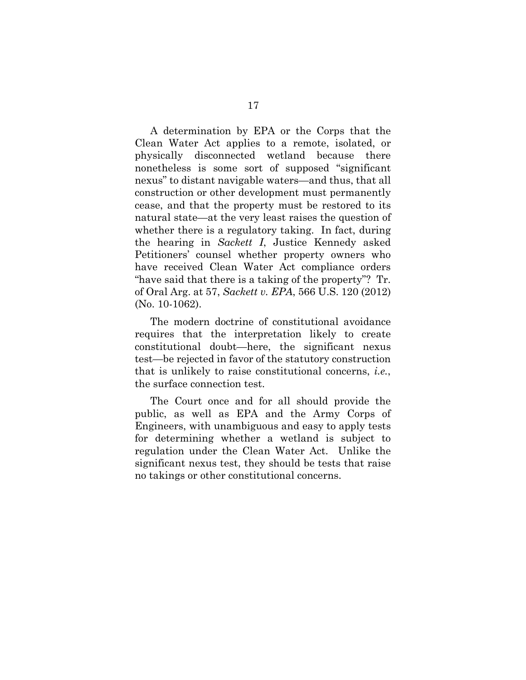A determination by EPA or the Corps that the Clean Water Act applies to a remote, isolated, or physically disconnected wetland because there nonetheless is some sort of supposed "significant nexus" to distant navigable waters—and thus, that all construction or other development must permanently cease, and that the property must be restored to its natural state—at the very least raises the question of whether there is a regulatory taking. In fact, during the hearing in *Sackett I*, Justice Kennedy asked Petitioners' counsel whether property owners who have received Clean Water Act compliance orders "have said that there is a taking of the property"? Tr. of Oral Arg. at 57, *Sackett v. EPA*, 566 U.S. 120 (2012) (No. 10-1062).

<span id="page-21-0"></span>The modern doctrine of constitutional avoidance requires that the interpretation likely to create constitutional doubt—here, the significant nexus test—be rejected in favor of the statutory construction that is unlikely to raise constitutional concerns, *i.e.*, the surface connection test.

The Court once and for all should provide the public, as well as EPA and the Army Corps of Engineers, with unambiguous and easy to apply tests for determining whether a wetland is subject to regulation under the Clean Water Act. Unlike the significant nexus test, they should be tests that raise no takings or other constitutional concerns.